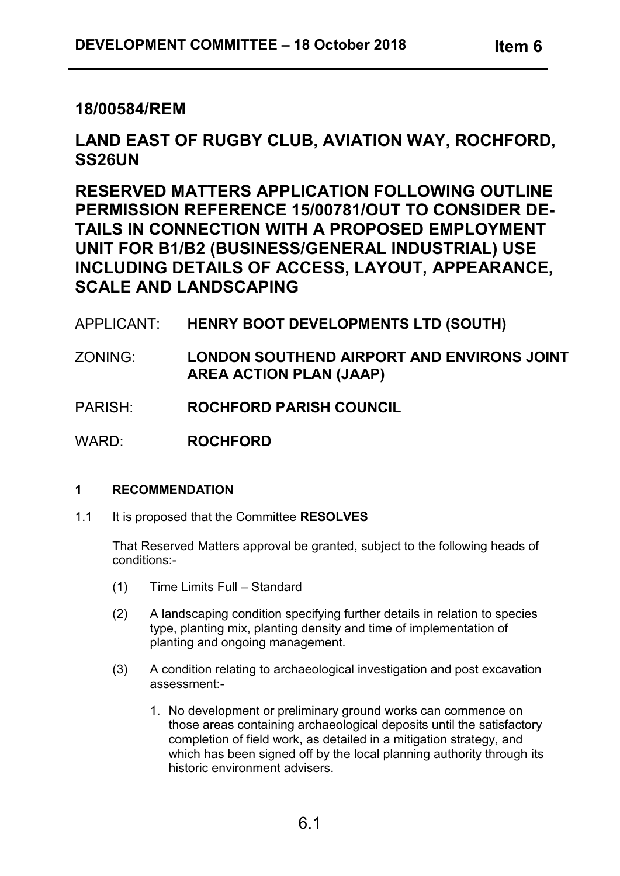## **18/00584/REM**

# **LAND EAST OF RUGBY CLUB, AVIATION WAY, ROCHFORD, SS26UN**

**RESERVED MATTERS APPLICATION FOLLOWING OUTLINE PERMISSION REFERENCE 15/00781/OUT TO CONSIDER DE-TAILS IN CONNECTION WITH A PROPOSED EMPLOYMENT UNIT FOR B1/B2 (BUSINESS/GENERAL INDUSTRIAL) USE INCLUDING DETAILS OF ACCESS, LAYOUT, APPEARANCE, SCALE AND LANDSCAPING**

## APPLICANT: **HENRY BOOT DEVELOPMENTS LTD (SOUTH)**

- ZONING: **LONDON SOUTHEND AIRPORT AND ENVIRONS JOINT AREA ACTION PLAN (JAAP)**
- PARISH: **ROCHFORD PARISH COUNCIL**

WARD: **ROCHFORD** 

## **1 RECOMMENDATION**

1.1 It is proposed that the Committee **RESOLVES**

That Reserved Matters approval be granted, subject to the following heads of conditions:-

- (1) Time Limits Full Standard
- (2) A landscaping condition specifying further details in relation to species type, planting mix, planting density and time of implementation of planting and ongoing management.
- (3) A condition relating to archaeological investigation and post excavation assessment:-
	- 1. No development or preliminary ground works can commence on those areas containing archaeological deposits until the satisfactory completion of field work, as detailed in a mitigation strategy, and which has been signed off by the local planning authority through its historic environment advisers.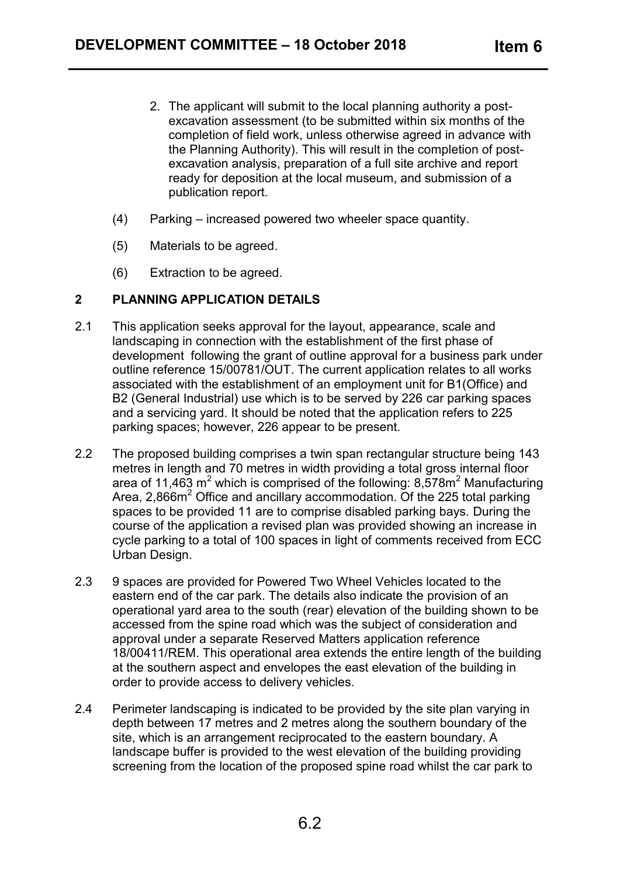- 2. The applicant will submit to the local planning authority a postexcavation assessment (to be submitted within six months of the completion of field work, unless otherwise agreed in advance with the Planning Authority). This will result in the completion of postexcavation analysis, preparation of a full site archive and report ready for deposition at the local museum, and submission of a publication report.
- (4) Parking increased powered two wheeler space quantity.
- (5) Materials to be agreed.
- (6) Extraction to be agreed.

#### **2 PLANNING APPLICATION DETAILS**

- 2.1 This application seeks approval for the layout, appearance, scale and landscaping in connection with the establishment of the first phase of development following the grant of outline approval for a business park under outline reference 15/00781/OUT. The current application relates to all works associated with the establishment of an employment unit for B1(Office) and B2 (General Industrial) use which is to be served by 226 car parking spaces and a servicing yard. It should be noted that the application refers to 225 parking spaces; however, 226 appear to be present.
- 2.2 The proposed building comprises a twin span rectangular structure being 143 metres in length and 70 metres in width providing a total gross internal floor area of 11,463 m<sup>2</sup> which is comprised of the following:  $8,578m^2$  Manufacturing Area, 2,866m<sup>2</sup> Office and ancillary accommodation. Of the 225 total parking spaces to be provided 11 are to comprise disabled parking bays. During the course of the application a revised plan was provided showing an increase in cycle parking to a total of 100 spaces in light of comments received from ECC Urban Design.
- 2.3 9 spaces are provided for Powered Two Wheel Vehicles located to the eastern end of the car park. The details also indicate the provision of an operational yard area to the south (rear) elevation of the building shown to be accessed from the spine road which was the subject of consideration and approval under a separate Reserved Matters application reference 18/00411/REM. This operational area extends the entire length of the building at the southern aspect and envelopes the east elevation of the building in order to provide access to delivery vehicles.
- 2.4 Perimeter landscaping is indicated to be provided by the site plan varying in depth between 17 metres and 2 metres along the southern boundary of the site, which is an arrangement reciprocated to the eastern boundary. A landscape buffer is provided to the west elevation of the building providing screening from the location of the proposed spine road whilst the car park to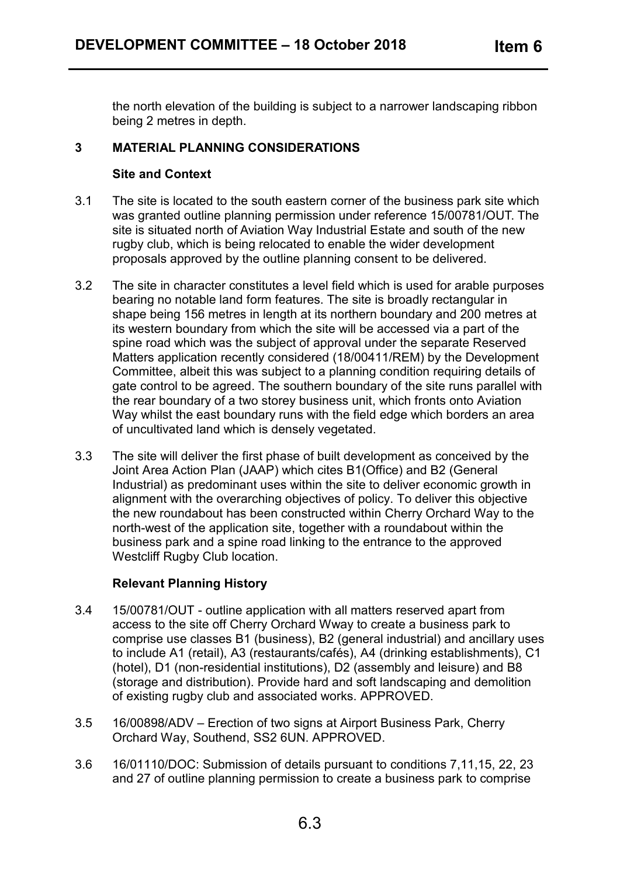the north elevation of the building is subject to a narrower landscaping ribbon being 2 metres in depth.

## **3 MATERIAL PLANNING CONSIDERATIONS**

#### **Site and Context**

- 3.1 The site is located to the south eastern corner of the business park site which was granted outline planning permission under reference 15/00781/OUT. The site is situated north of Aviation Way Industrial Estate and south of the new rugby club, which is being relocated to enable the wider development proposals approved by the outline planning consent to be delivered.
- 3.2 The site in character constitutes a level field which is used for arable purposes bearing no notable land form features. The site is broadly rectangular in shape being 156 metres in length at its northern boundary and 200 metres at its western boundary from which the site will be accessed via a part of the spine road which was the subject of approval under the separate Reserved Matters application recently considered (18/00411/REM) by the Development Committee, albeit this was subject to a planning condition requiring details of gate control to be agreed. The southern boundary of the site runs parallel with the rear boundary of a two storey business unit, which fronts onto Aviation Way whilst the east boundary runs with the field edge which borders an area of uncultivated land which is densely vegetated.
- 3.3 The site will deliver the first phase of built development as conceived by the Joint Area Action Plan (JAAP) which cites B1(Office) and B2 (General Industrial) as predominant uses within the site to deliver economic growth in alignment with the overarching objectives of policy. To deliver this objective the new roundabout has been constructed within Cherry Orchard Way to the north-west of the application site, together with a roundabout within the business park and a spine road linking to the entrance to the approved Westcliff Rugby Club location.

## **Relevant Planning History**

- 3.4 15/00781/OUT outline application with all matters reserved apart from access to the site off Cherry Orchard Wway to create a business park to comprise use classes B1 (business), B2 (general industrial) and ancillary uses to include A1 (retail), A3 (restaurants/cafés), A4 (drinking establishments), C1 (hotel), D1 (non-residential institutions), D2 (assembly and leisure) and B8 (storage and distribution). Provide hard and soft landscaping and demolition of existing rugby club and associated works. APPROVED.
- 3.5 16/00898/ADV Erection of two signs at Airport Business Park, Cherry Orchard Way, Southend, SS2 6UN. APPROVED.
- 3.6 16/01110/DOC: Submission of details pursuant to conditions 7,11,15, 22, 23 and 27 of outline planning permission to create a business park to comprise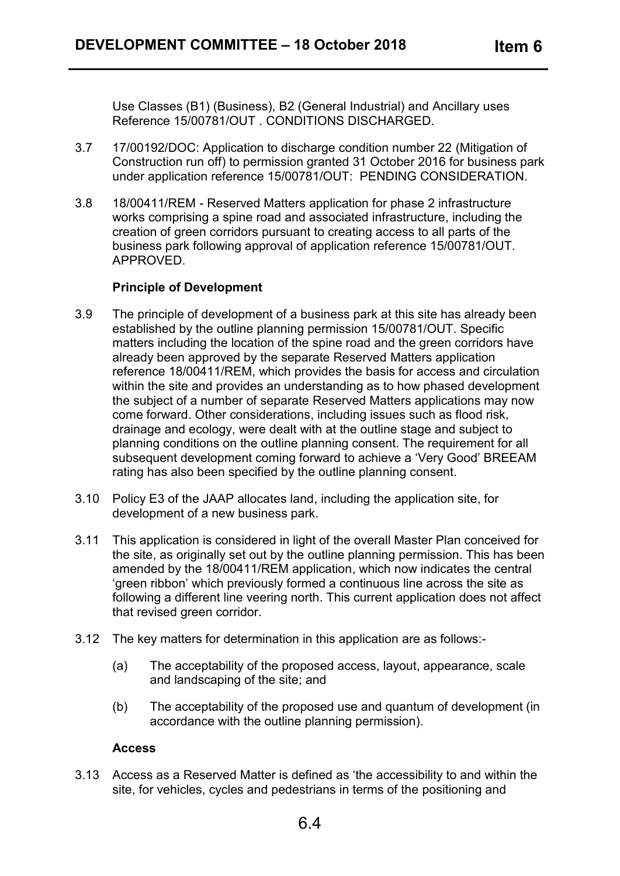Use Classes (B1) (Business), B2 (General Industrial) and Ancillary uses Reference 15/00781/OUT . CONDITIONS DISCHARGED.

- 3.7 17/00192/DOC: Application to discharge condition number 22 (Mitigation of Construction run off) to permission granted 31 October 2016 for business park under application reference 15/00781/OUT: PENDING CONSIDERATION.
- 3.8 18/00411/REM Reserved Matters application for phase 2 infrastructure works comprising a spine road and associated infrastructure, including the creation of green corridors pursuant to creating access to all parts of the business park following approval of application reference 15/00781/OUT. APPROVED.

## **Principle of Development**

- 3.9 The principle of development of a business park at this site has already been established by the outline planning permission 15/00781/OUT. Specific matters including the location of the spine road and the green corridors have already been approved by the separate Reserved Matters application reference 18/00411/REM, which provides the basis for access and circulation within the site and provides an understanding as to how phased development the subject of a number of separate Reserved Matters applications may now come forward. Other considerations, including issues such as flood risk, drainage and ecology, were dealt with at the outline stage and subject to planning conditions on the outline planning consent. The requirement for all subsequent development coming forward to achieve a 'Very Good' BREEAM rating has also been specified by the outline planning consent.
- 3.10 Policy E3 of the JAAP allocates land, including the application site, for development of a new business park.
- 3.11 This application is considered in light of the overall Master Plan conceived for the site, as originally set out by the outline planning permission. This has been amended by the 18/00411/REM application, which now indicates the central 'green ribbon' which previously formed a continuous line across the site as following a different line veering north. This current application does not affect that revised green corridor.
- 3.12 The key matters for determination in this application are as follows:-
	- (a) The acceptability of the proposed access, layout, appearance, scale and landscaping of the site; and
	- (b) The acceptability of the proposed use and quantum of development (in accordance with the outline planning permission).

## **Access**

3.13 Access as a Reserved Matter is defined as 'the accessibility to and within the site, for vehicles, cycles and pedestrians in terms of the positioning and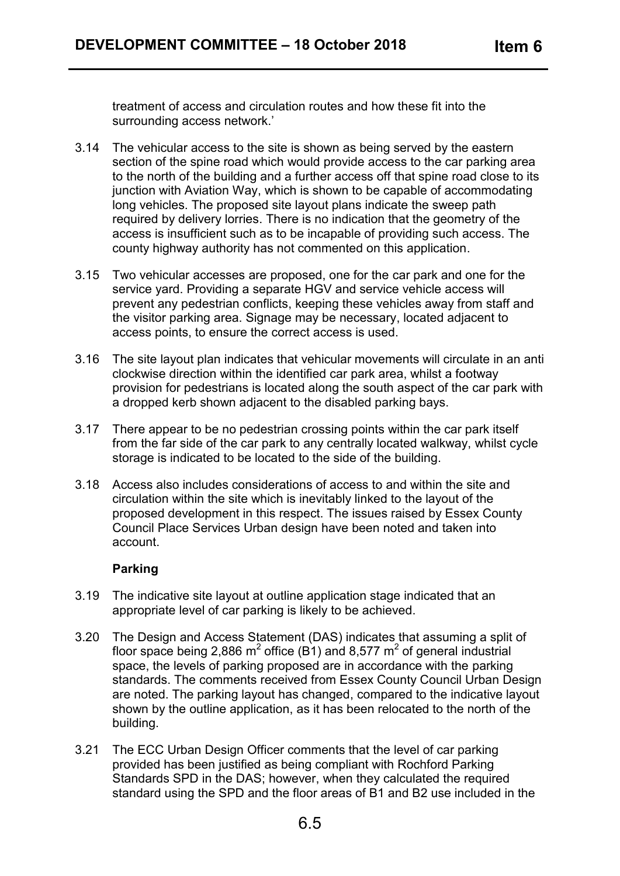treatment of access and circulation routes and how these fit into the surrounding access network.'

- 3.14 The vehicular access to the site is shown as being served by the eastern section of the spine road which would provide access to the car parking area to the north of the building and a further access off that spine road close to its junction with Aviation Way, which is shown to be capable of accommodating long vehicles. The proposed site layout plans indicate the sweep path required by delivery lorries. There is no indication that the geometry of the access is insufficient such as to be incapable of providing such access. The county highway authority has not commented on this application.
- 3.15 Two vehicular accesses are proposed, one for the car park and one for the service yard. Providing a separate HGV and service vehicle access will prevent any pedestrian conflicts, keeping these vehicles away from staff and the visitor parking area. Signage may be necessary, located adjacent to access points, to ensure the correct access is used.
- 3.16 The site layout plan indicates that vehicular movements will circulate in an anti clockwise direction within the identified car park area, whilst a footway provision for pedestrians is located along the south aspect of the car park with a dropped kerb shown adjacent to the disabled parking bays.
- 3.17 There appear to be no pedestrian crossing points within the car park itself from the far side of the car park to any centrally located walkway, whilst cycle storage is indicated to be located to the side of the building.
- 3.18 Access also includes considerations of access to and within the site and circulation within the site which is inevitably linked to the layout of the proposed development in this respect. The issues raised by Essex County Council Place Services Urban design have been noted and taken into account.

## **Parking**

- 3.19 The indicative site layout at outline application stage indicated that an appropriate level of car parking is likely to be achieved.
- 3.20 The Design and Access Statement (DAS) indicates that assuming a split of floor space being 2,886  $m^2$  office (B1) and 8,577  $m^2$  of general industrial space, the levels of parking proposed are in accordance with the parking standards. The comments received from Essex County Council Urban Design are noted. The parking layout has changed, compared to the indicative layout shown by the outline application, as it has been relocated to the north of the building.
- 3.21 The ECC Urban Design Officer comments that the level of car parking provided has been justified as being compliant with Rochford Parking Standards SPD in the DAS; however, when they calculated the required standard using the SPD and the floor areas of B1 and B2 use included in the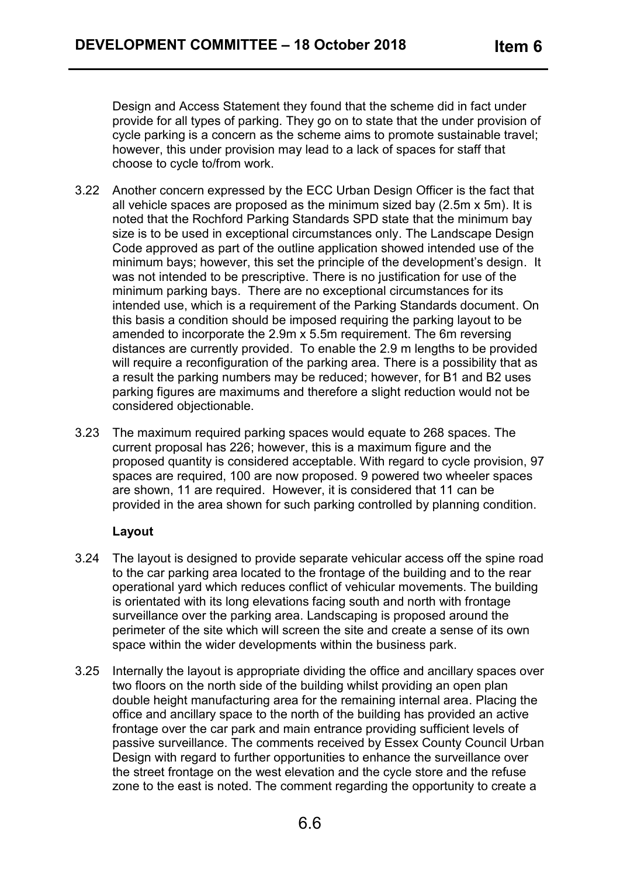Design and Access Statement they found that the scheme did in fact under provide for all types of parking. They go on to state that the under provision of cycle parking is a concern as the scheme aims to promote sustainable travel; however, this under provision may lead to a lack of spaces for staff that choose to cycle to/from work.

- 3.22 Another concern expressed by the ECC Urban Design Officer is the fact that all vehicle spaces are proposed as the minimum sized bay (2.5m x 5m). It is noted that the Rochford Parking Standards SPD state that the minimum bay size is to be used in exceptional circumstances only. The Landscape Design Code approved as part of the outline application showed intended use of the minimum bays; however, this set the principle of the development's design. It was not intended to be prescriptive. There is no justification for use of the minimum parking bays. There are no exceptional circumstances for its intended use, which is a requirement of the Parking Standards document. On this basis a condition should be imposed requiring the parking layout to be amended to incorporate the 2.9m x 5.5m requirement. The 6m reversing distances are currently provided. To enable the 2.9 m lengths to be provided will require a reconfiguration of the parking area. There is a possibility that as a result the parking numbers may be reduced; however, for B1 and B2 uses parking figures are maximums and therefore a slight reduction would not be considered objectionable.
- 3.23 The maximum required parking spaces would equate to 268 spaces. The current proposal has 226; however, this is a maximum figure and the proposed quantity is considered acceptable. With regard to cycle provision, 97 spaces are required, 100 are now proposed. 9 powered two wheeler spaces are shown, 11 are required. However, it is considered that 11 can be provided in the area shown for such parking controlled by planning condition.

#### **Layout**

- 3.24 The layout is designed to provide separate vehicular access off the spine road to the car parking area located to the frontage of the building and to the rear operational yard which reduces conflict of vehicular movements. The building is orientated with its long elevations facing south and north with frontage surveillance over the parking area. Landscaping is proposed around the perimeter of the site which will screen the site and create a sense of its own space within the wider developments within the business park.
- 3.25 Internally the layout is appropriate dividing the office and ancillary spaces over two floors on the north side of the building whilst providing an open plan double height manufacturing area for the remaining internal area. Placing the office and ancillary space to the north of the building has provided an active frontage over the car park and main entrance providing sufficient levels of passive surveillance. The comments received by Essex County Council Urban Design with regard to further opportunities to enhance the surveillance over the street frontage on the west elevation and the cycle store and the refuse zone to the east is noted. The comment regarding the opportunity to create a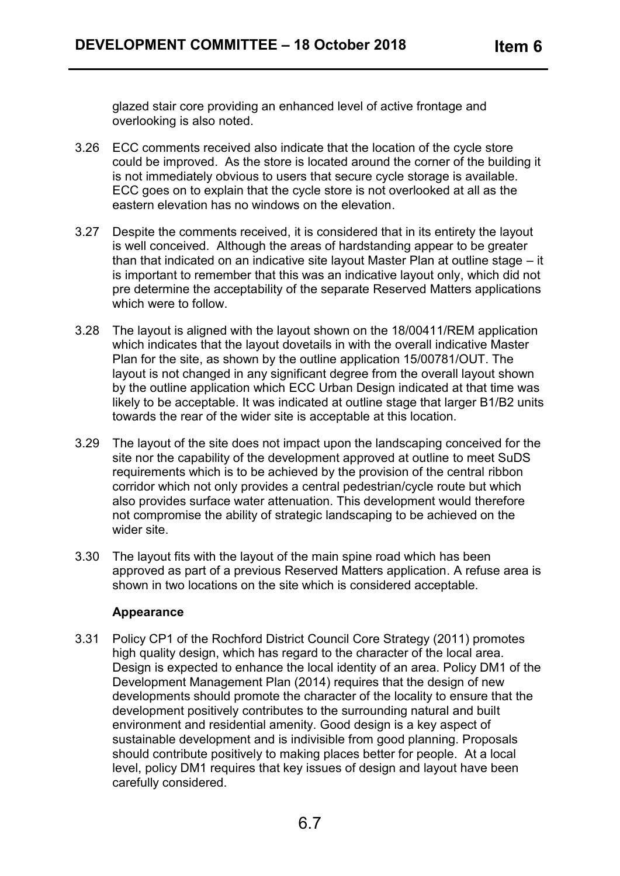glazed stair core providing an enhanced level of active frontage and overlooking is also noted.

- 3.26 ECC comments received also indicate that the location of the cycle store could be improved. As the store is located around the corner of the building it is not immediately obvious to users that secure cycle storage is available. ECC goes on to explain that the cycle store is not overlooked at all as the eastern elevation has no windows on the elevation.
- 3.27 Despite the comments received, it is considered that in its entirety the layout is well conceived. Although the areas of hardstanding appear to be greater than that indicated on an indicative site layout Master Plan at outline stage – it is important to remember that this was an indicative layout only, which did not pre determine the acceptability of the separate Reserved Matters applications which were to follow.
- 3.28 The layout is aligned with the layout shown on the 18/00411/REM application which indicates that the layout dovetails in with the overall indicative Master Plan for the site, as shown by the outline application 15/00781/OUT. The layout is not changed in any significant degree from the overall layout shown by the outline application which ECC Urban Design indicated at that time was likely to be acceptable. It was indicated at outline stage that larger B1/B2 units towards the rear of the wider site is acceptable at this location.
- 3.29 The layout of the site does not impact upon the landscaping conceived for the site nor the capability of the development approved at outline to meet SuDS requirements which is to be achieved by the provision of the central ribbon corridor which not only provides a central pedestrian/cycle route but which also provides surface water attenuation. This development would therefore not compromise the ability of strategic landscaping to be achieved on the wider site.
- 3.30 The layout fits with the layout of the main spine road which has been approved as part of a previous Reserved Matters application. A refuse area is shown in two locations on the site which is considered acceptable.

#### **Appearance**

3.31 Policy CP1 of the Rochford District Council Core Strategy (2011) promotes high quality design, which has regard to the character of the local area. Design is expected to enhance the local identity of an area. Policy DM1 of the Development Management Plan (2014) requires that the design of new developments should promote the character of the locality to ensure that the development positively contributes to the surrounding natural and built environment and residential amenity. Good design is a key aspect of sustainable development and is indivisible from good planning. Proposals should contribute positively to making places better for people. At a local level, policy DM1 requires that key issues of design and layout have been carefully considered.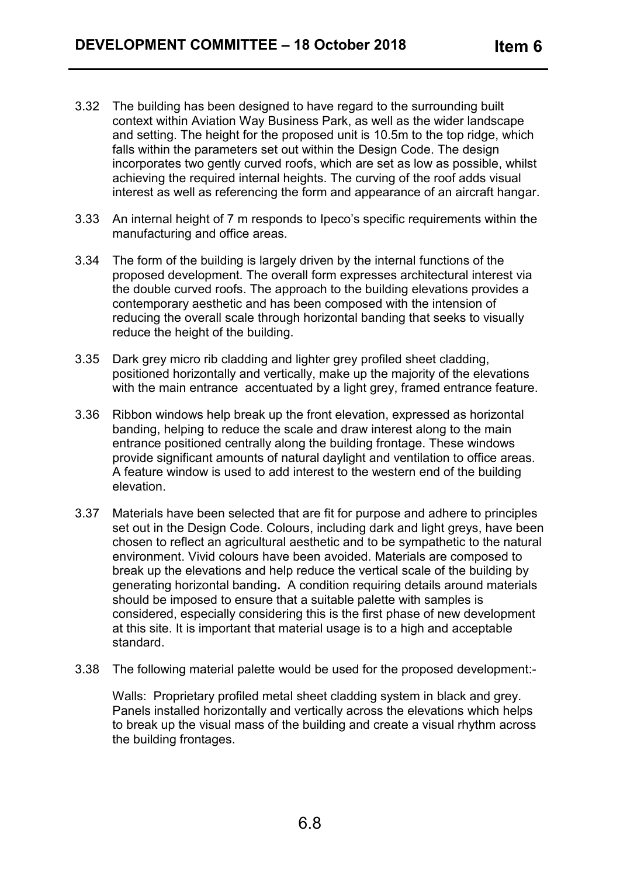- 3.32 The building has been designed to have regard to the surrounding built context within Aviation Way Business Park, as well as the wider landscape and setting. The height for the proposed unit is 10.5m to the top ridge, which falls within the parameters set out within the Design Code. The design incorporates two gently curved roofs, which are set as low as possible, whilst achieving the required internal heights. The curving of the roof adds visual interest as well as referencing the form and appearance of an aircraft hangar.
- 3.33 An internal height of 7 m responds to Ipeco's specific requirements within the manufacturing and office areas.
- 3.34 The form of the building is largely driven by the internal functions of the proposed development. The overall form expresses architectural interest via the double curved roofs. The approach to the building elevations provides a contemporary aesthetic and has been composed with the intension of reducing the overall scale through horizontal banding that seeks to visually reduce the height of the building.
- 3.35 Dark grey micro rib cladding and lighter grey profiled sheet cladding, positioned horizontally and vertically, make up the majority of the elevations with the main entrance accentuated by a light grey, framed entrance feature.
- 3.36 Ribbon windows help break up the front elevation, expressed as horizontal banding, helping to reduce the scale and draw interest along to the main entrance positioned centrally along the building frontage. These windows provide significant amounts of natural daylight and ventilation to office areas. A feature window is used to add interest to the western end of the building elevation.
- 3.37 Materials have been selected that are fit for purpose and adhere to principles set out in the Design Code. Colours, including dark and light greys, have been chosen to reflect an agricultural aesthetic and to be sympathetic to the natural environment. Vivid colours have been avoided. Materials are composed to break up the elevations and help reduce the vertical scale of the building by generating horizontal banding**.** A condition requiring details around materials should be imposed to ensure that a suitable palette with samples is considered, especially considering this is the first phase of new development at this site. It is important that material usage is to a high and acceptable standard.
- 3.38 The following material palette would be used for the proposed development:-

Walls: Proprietary profiled metal sheet cladding system in black and grey. Panels installed horizontally and vertically across the elevations which helps to break up the visual mass of the building and create a visual rhythm across the building frontages.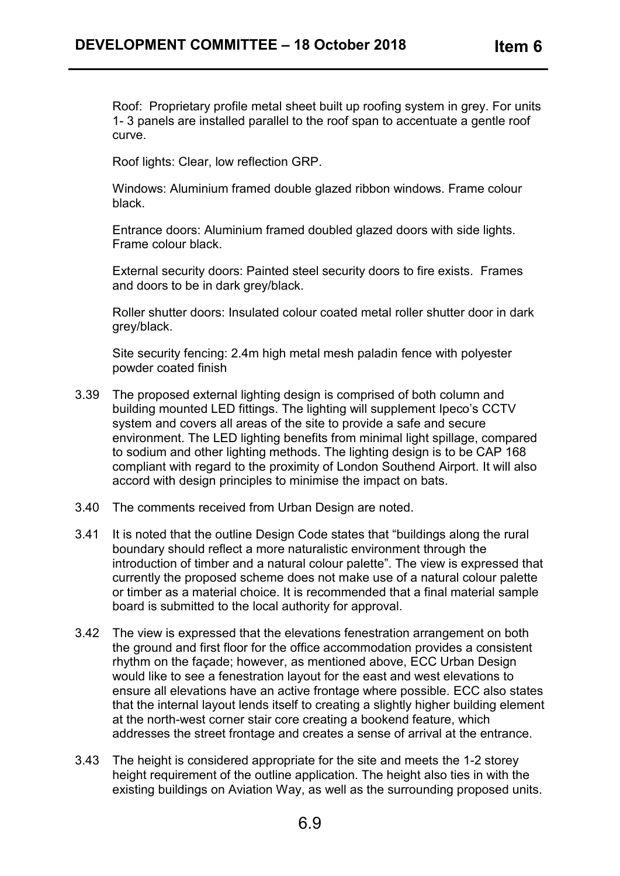Roof: Proprietary profile metal sheet built up roofing system in grey. For units 1- 3 panels are installed parallel to the roof span to accentuate a gentle roof curve.

Roof lights: Clear, low reflection GRP.

Windows: Aluminium framed double glazed ribbon windows. Frame colour black.

Entrance doors: Aluminium framed doubled glazed doors with side lights. Frame colour black.

External security doors: Painted steel security doors to fire exists. Frames and doors to be in dark grey/black.

Roller shutter doors: Insulated colour coated metal roller shutter door in dark grey/black.

Site security fencing: 2.4m high metal mesh paladin fence with polyester powder coated finish

- 3.39 The proposed external lighting design is comprised of both column and building mounted LED fittings. The lighting will supplement Ipeco's CCTV system and covers all areas of the site to provide a safe and secure environment. The LED lighting benefits from minimal light spillage, compared to sodium and other lighting methods. The lighting design is to be CAP 168 compliant with regard to the proximity of London Southend Airport. It will also accord with design principles to minimise the impact on bats.
- 3.40 The comments received from Urban Design are noted.
- 3.41 It is noted that the outline Design Code states that "buildings along the rural boundary should reflect a more naturalistic environment through the introduction of timber and a natural colour palette". The view is expressed that currently the proposed scheme does not make use of a natural colour palette or timber as a material choice. It is recommended that a final material sample board is submitted to the local authority for approval.
- 3.42 The view is expressed that the elevations fenestration arrangement on both the ground and first floor for the office accommodation provides a consistent rhythm on the façade; however, as mentioned above, ECC Urban Design would like to see a fenestration layout for the east and west elevations to ensure all elevations have an active frontage where possible. ECC also states that the internal layout lends itself to creating a slightly higher building element at the north-west corner stair core creating a bookend feature, which addresses the street frontage and creates a sense of arrival at the entrance.
- 3.43 The height is considered appropriate for the site and meets the 1-2 storey height requirement of the outline application. The height also ties in with the existing buildings on Aviation Way, as well as the surrounding proposed units.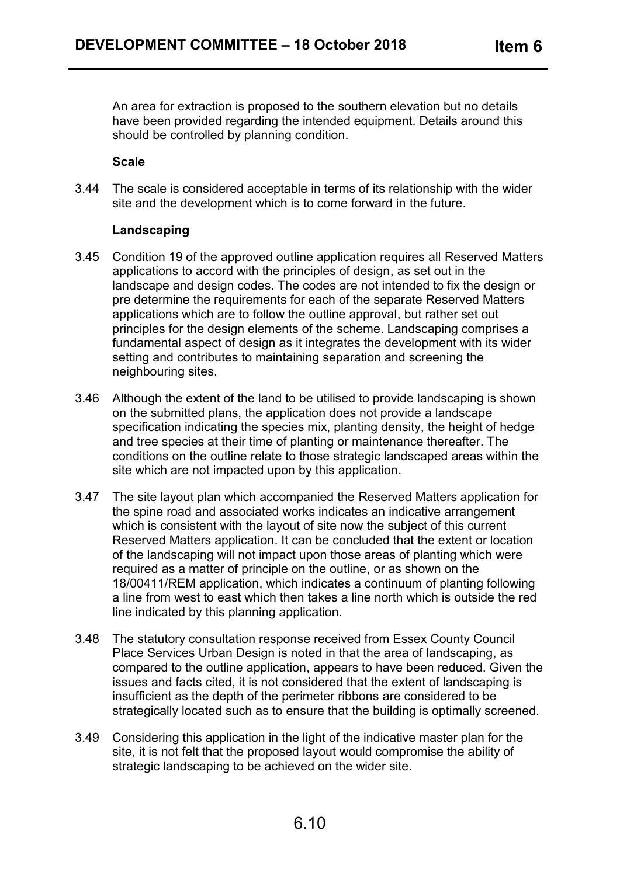An area for extraction is proposed to the southern elevation but no details have been provided regarding the intended equipment. Details around this should be controlled by planning condition.

#### **Scale**

3.44 The scale is considered acceptable in terms of its relationship with the wider site and the development which is to come forward in the future.

#### **Landscaping**

- 3.45 Condition 19 of the approved outline application requires all Reserved Matters applications to accord with the principles of design, as set out in the landscape and design codes. The codes are not intended to fix the design or pre determine the requirements for each of the separate Reserved Matters applications which are to follow the outline approval, but rather set out principles for the design elements of the scheme. Landscaping comprises a fundamental aspect of design as it integrates the development with its wider setting and contributes to maintaining separation and screening the neighbouring sites.
- 3.46 Although the extent of the land to be utilised to provide landscaping is shown on the submitted plans, the application does not provide a landscape specification indicating the species mix, planting density, the height of hedge and tree species at their time of planting or maintenance thereafter. The conditions on the outline relate to those strategic landscaped areas within the site which are not impacted upon by this application.
- 3.47 The site layout plan which accompanied the Reserved Matters application for the spine road and associated works indicates an indicative arrangement which is consistent with the layout of site now the subject of this current Reserved Matters application. It can be concluded that the extent or location of the landscaping will not impact upon those areas of planting which were required as a matter of principle on the outline, or as shown on the 18/00411/REM application, which indicates a continuum of planting following a line from west to east which then takes a line north which is outside the red line indicated by this planning application.
- 3.48 The statutory consultation response received from Essex County Council Place Services Urban Design is noted in that the area of landscaping, as compared to the outline application, appears to have been reduced. Given the issues and facts cited, it is not considered that the extent of landscaping is insufficient as the depth of the perimeter ribbons are considered to be strategically located such as to ensure that the building is optimally screened.
- 3.49 Considering this application in the light of the indicative master plan for the site, it is not felt that the proposed layout would compromise the ability of strategic landscaping to be achieved on the wider site.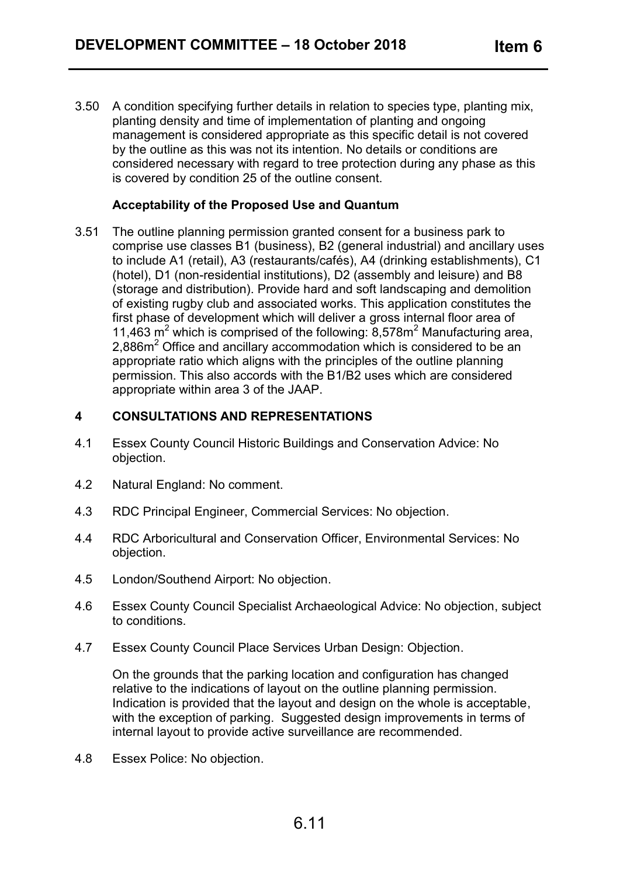3.50 A condition specifying further details in relation to species type, planting mix, planting density and time of implementation of planting and ongoing management is considered appropriate as this specific detail is not covered by the outline as this was not its intention. No details or conditions are considered necessary with regard to tree protection during any phase as this is covered by condition 25 of the outline consent.

#### **Acceptability of the Proposed Use and Quantum**

3.51 The outline planning permission granted consent for a business park to comprise use classes B1 (business), B2 (general industrial) and ancillary uses to include A1 (retail), A3 (restaurants/cafés), A4 (drinking establishments), C1 (hotel), D1 (non-residential institutions), D2 (assembly and leisure) and B8 (storage and distribution). Provide hard and soft landscaping and demolition of existing rugby club and associated works. This application constitutes the first phase of development which will deliver a gross internal floor area of 11,463  $\text{m}^2$  which is comprised of the following: 8,578 $\text{m}^2$  Manufacturing area, 2,886m<sup>2</sup> Office and ancillary accommodation which is considered to be an appropriate ratio which aligns with the principles of the outline planning permission. This also accords with the B1/B2 uses which are considered appropriate within area 3 of the JAAP.

#### **4 CONSULTATIONS AND REPRESENTATIONS**

- 4.1 Essex County Council Historic Buildings and Conservation Advice: No objection.
- 4.2 Natural England: No comment.
- 4.3 RDC Principal Engineer, Commercial Services: No objection.
- 4.4 RDC Arboricultural and Conservation Officer, Environmental Services: No objection.
- 4.5 London/Southend Airport: No objection.
- 4.6 Essex County Council Specialist Archaeological Advice: No objection, subject to conditions.
- 4.7 Essex County Council Place Services Urban Design: Objection.

On the grounds that the parking location and configuration has changed relative to the indications of layout on the outline planning permission. Indication is provided that the layout and design on the whole is acceptable, with the exception of parking. Suggested design improvements in terms of internal layout to provide active surveillance are recommended.

4.8 Essex Police: No objection.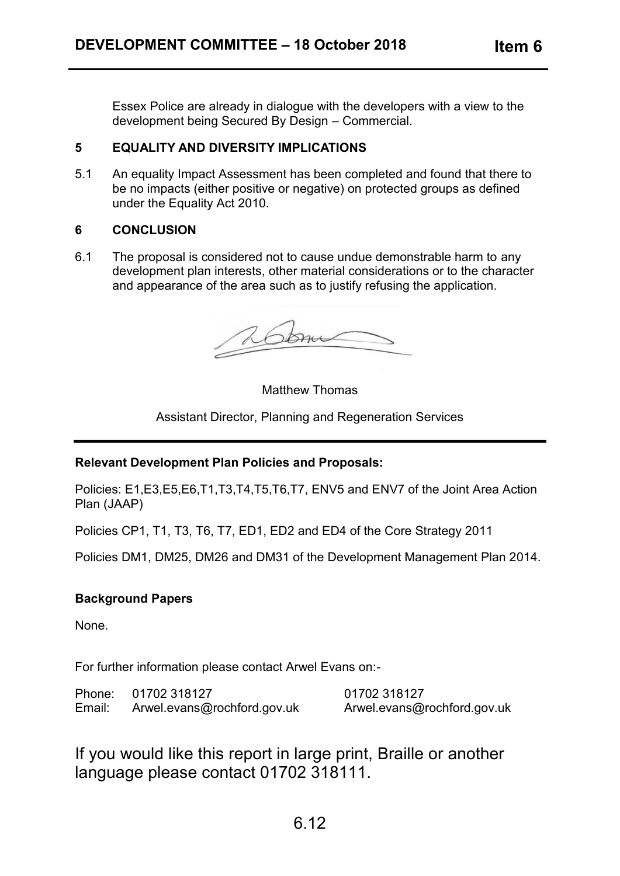Essex Police are already in dialogue with the developers with a view to the development being Secured By Design – Commercial.

### **5 EQUALITY AND DIVERSITY IMPLICATIONS**

5.1 An equality Impact Assessment has been completed and found that there to be no impacts (either positive or negative) on protected groups as defined under the Equality Act 2010.

#### **6 CONCLUSION**

6.1 The proposal is considered not to cause undue demonstrable harm to any development plan interests, other material considerations or to the character and appearance of the area such as to justify refusing the application.

som

Matthew Thomas

Assistant Director, Planning and Regeneration Services

## **Relevant Development Plan Policies and Proposals:**

Policies: E1,E3,E5,E6,T1,T3,T4,T5,T6,T7, ENV5 and ENV7 of the Joint Area Action Plan (JAAP)

Policies CP1, T1, T3, T6, T7, ED1, ED2 and ED4 of the Core Strategy 2011

Policies DM1, DM25, DM26 and DM31 of the Development Management Plan 2014.

## **Background Papers**

None.

For further information please contact Arwel Evans on:-

| Phone: | 01702 318127                | 01702 318127                |
|--------|-----------------------------|-----------------------------|
| Email: | Arwel.evans@rochford.gov.uk | Arwel.evans@rochford.gov.uk |

If you would like this report in large print, Braille or another language please contact 01702 318111.